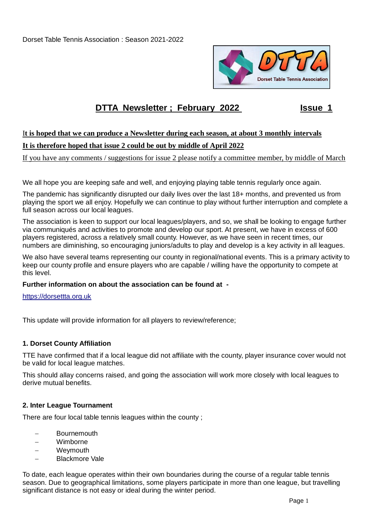Dorset Table Tennis Association : Season 2021-2022



# **DTTA Newsletter : February 2022 ISSUE 1**

# I**t is hoped that we can produce a Newsletter during each season, at about 3 monthly intervals**

# **It is therefore hoped that issue 2 could be out by middle of April 2022**

If you have any comments / suggestions for issue 2 please notify a committee member, by middle of March

We all hope you are keeping safe and well, and enjoying playing table tennis regularly once again.

The pandemic has significantly disrupted our daily lives over the last 18+ months, and prevented us from playing the sport we all enjoy. Hopefully we can continue to play without further interruption and complete a full season across our local leagues.

The association is keen to support our local leagues/players, and so, we shall be looking to engage further via communiqués and activities to promote and develop our sport. At present, we have in excess of 600 players registered, across a relatively small county. However, as we have seen in recent times, our numbers are diminishing, so encouraging juniors/adults to play and develop is a key activity in all leagues.

We also have several teams representing our county in regional/national events. This is a primary activity to keep our county profile and ensure players who are capable / willing have the opportunity to compete at this level.

### **Further information on about the association can be found at -**

[https://dorsettta.org.uk](https://dorsettta.org.uk/)

This update will provide information for all players to review/reference;

### **1. Dorset County Affiliation**

TTE have confirmed that if a local league did not affiliate with the county, player insurance cover would not be valid for local league matches.

This should allay concerns raised, and going the association will work more closely with local leagues to derive mutual benefits.

### **2. Inter League Tournament**

There are four local table tennis leagues within the county ;

- **Bournemouth**
- Wimborne
- Weymouth
- Blackmore Vale

To date, each league operates within their own boundaries during the course of a regular table tennis season. Due to geographical limitations, some players participate in more than one league, but travelling significant distance is not easy or ideal during the winter period.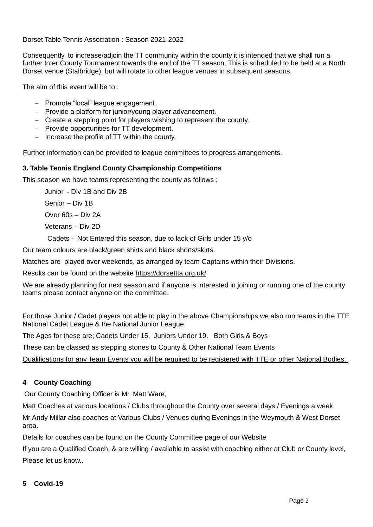Dorset Table Tennis Association : Season 2021-2022

Consequently, to increase/adjoin the TT community within the county it is intended that we shall run a further Inter County Tournament towards the end of the TT season. This is scheduled to be held at a North Dorset venue (Stalbridge), but will rotate to other league venues in subsequent seasons.

The aim of this event will be to ;

- Promote "local" league engagement.
- Provide a platform for junior/young player advancement.
- Create a stepping point for players wishing to represent the county.
- Provide opportunities for TT development.
- $-$  Increase the profile of TT within the county.

Further information can be provided to league committees to progress arrangements.

### **3. Table Tennis England County Championship Competitions**

This season we have teams representing the county as follows ;

Junior - Div 1B and Div 2B

Senior – Div 1B

Over 60s – Div 2A

Veterans – Div 2D

Cadets - Not Entered this season, due to lack of Girls under 15 y/o

Our team colours are black/green shirts and black shorts/skirts.

Matches are played over weekends, as arranged by team Captains within their Divisions.

Results can be found on the website https://dorsettta.org.uk/

We are already planning for next season and if anyone is interested in joining or running one of the county teams please contact anyone on the committee.

For those Junior / Cadet players not able to play in the above Championships we also run teams in the TTE National Cadet League & the National Junior League.

The Ages for these are; Cadets Under 15, Juniors Under 19. Both Girls & Boys

These can be classed as stepping stones to County & Other National Team Events

Qualifications for any Team Events you will be required to be registered with TTE or other National Bodies.

# **4 County Coaching**

Our County Coaching Officer is Mr. Matt Ware,

Matt Coaches at various locations / Clubs throughout the County over several days / Evenings a week.

Mr Andy Millar also coaches at Various Clubs / Venues during Evenings in the Weymouth & West Dorset area.

Details for coaches can be found on the County Committee page of our Website

If you are a Qualified Coach, & are willing / available to assist with coaching either at Club or County level, Please let us know..

### **5 Covid-19**